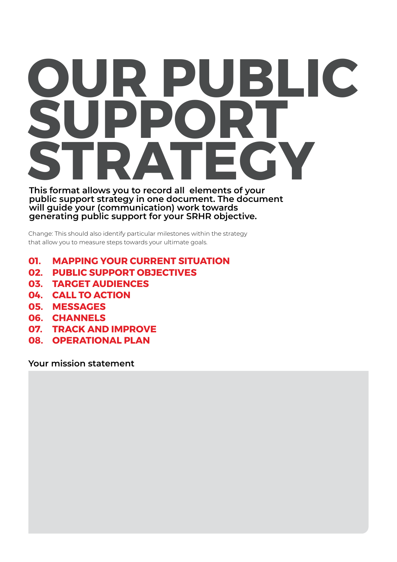# **OUR PUBLIC SUPPORT STRATEGY**

**public support strategy in one document. The document will guide your (communication) work towards generating public support for your SRHR objective.** 

Change: This should also identify particular milestones within the strategy that allow you to measure steps towards your ultimate goals.

- **01. MAPPING YOUR CURRENT SITUATION**
- **02. PUBLIC SUPPORT OBJECTIVES**
- **03. TARGET AUDIENCES**
- **04. CALL TO ACTION**
- **05. MESSAGES**
- **06. CHANNELS**
- **07. TRACK AND IMPROVE**
- **08. OPERATIONAL PLAN**

**Your mission statement**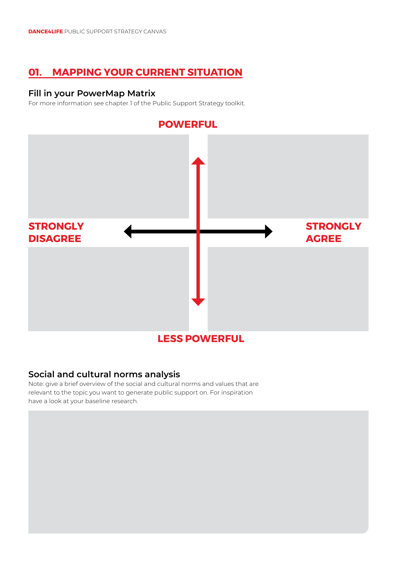# **01. MAPPING YOUR CURRENT SITUATION**

#### **Fill in your PowerMap Matrix**

For more information see chapter 1 of the Public Support Strategy toolkit.



#### **Social and cultural norms analysis**

Note: give a brief overview of the social and cultural norms and values that are relevant to the topic you want to generate public support on. For inspiration have a look at your baseline research.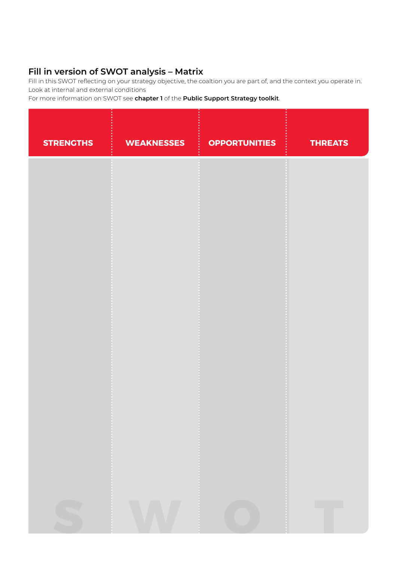## **Fill in version of SWOT analysis – Matrix**

Fill in this SWOT reflecting on your strategy objective, the coaltion you are part of, and the context you operate in. Look at internal and external conditions

For more information on SWOT see **chapter 1** of the **Public Support Strategy toolkit**.

| <b>STRENGTHS</b> | <b>WEAKNESSES</b> | <b>OPPORTUNITIES</b> | <b>THREATS</b> |
|------------------|-------------------|----------------------|----------------|
|                  |                   |                      |                |
|                  |                   |                      |                |
|                  |                   |                      |                |
|                  |                   |                      |                |
|                  |                   |                      |                |
|                  |                   |                      |                |
|                  |                   |                      |                |
|                  | J                 |                      |                |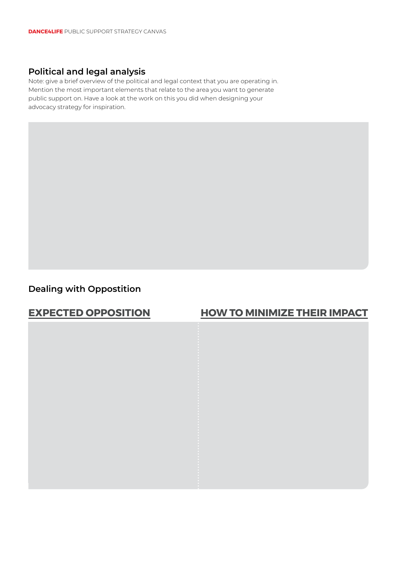#### **Political and legal analysis**

Note: give a brief overview of the political and legal context that you are operating in. Mention the most important elements that relate to the area you want to generate public support on. Have a look at the work on this you did when designing your advocacy strategy for inspiration.

#### **Dealing with Oppostition**

# **EXPECTED OPPOSITION HOW TO MINIMIZE THEIR IMPACT**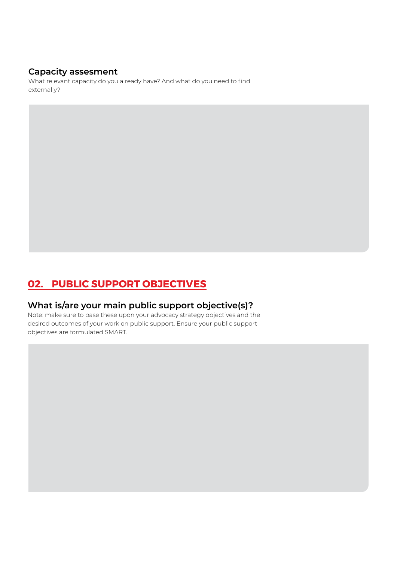# **Capacity assesment**

What relevant capacity do you already have? And what do you need to find externally?

# **02. PUBLIC SUPPORT OBJECTIVES**

### **What is/are your main public support objective(s)?**

Note: make sure to base these upon your advocacy strategy objectives and the desired outcomes of your work on public support. Ensure your public support objectives are formulated SMART.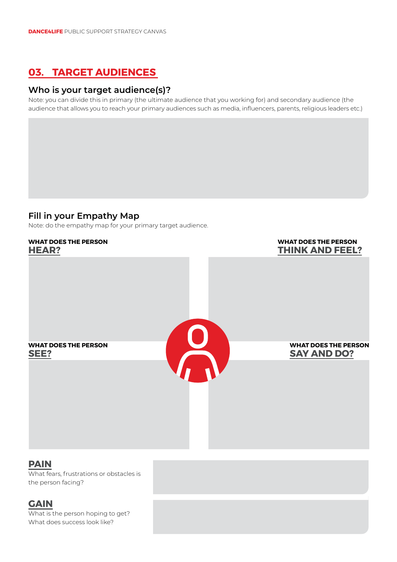# **03. TARGET AUDIENCES**

#### **Who is your target audience(s)?**

Note: you can divide this in primary (the ultimate audience that you working for) and secondary audience (the audience that allows you to reach your primary audiences such as media, influencers, parents, religious leaders etc.)

#### **Fill in your Empathy Map**

Note: do the empathy map for your primary target audience.



the person facing?

#### **GAIN**

What is the person hoping to get? What does success look like?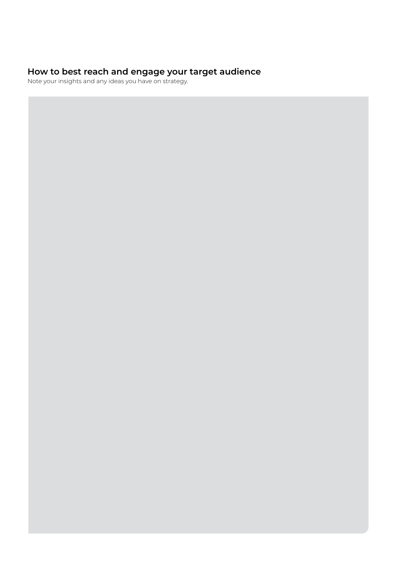#### **How to best reach and engage your target audience**

Note your insights and any ideas you have on strategy.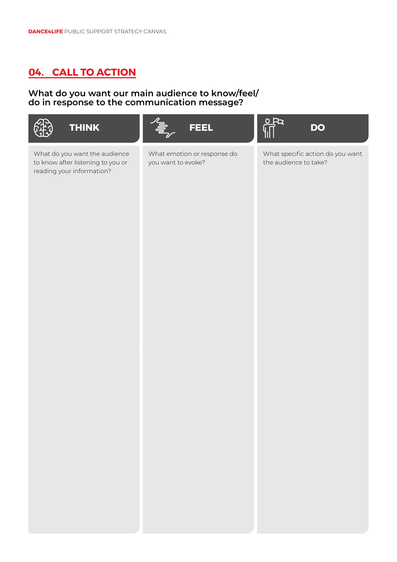# **04. CALL TO ACTION**

#### **What do you want our main audience to know/feel/ do in response to the communication message?**



What do you want the audience to know after listening to you or reading your information?

**THINK FEEL DO**

What emotion or response do you want to evoke?

What specific action do you want the audience to take?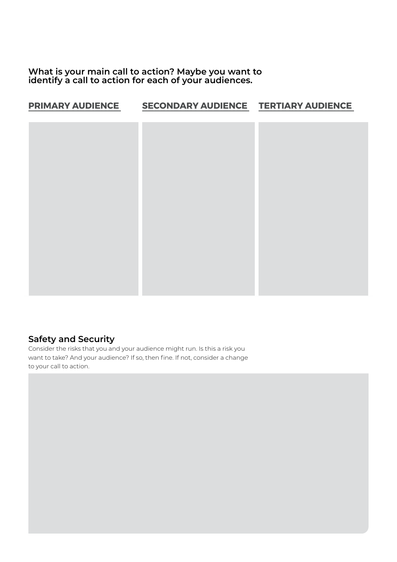**What is your main call to action? Maybe you want to identify a call to action for each of your audiences.**

| <b>PRIMARY AUDIENCE</b> | SECONDARY AUDIENCE TERTIARY AUDIENCE |  |
|-------------------------|--------------------------------------|--|
|                         |                                      |  |
|                         |                                      |  |
|                         |                                      |  |
|                         |                                      |  |
|                         |                                      |  |
|                         |                                      |  |
|                         |                                      |  |
|                         |                                      |  |

#### **Safety and Security**

Consider the risks that you and your audience might run. Is this a risk you want to take? And your audience? If so, then fine. If not, consider a change to your call to action.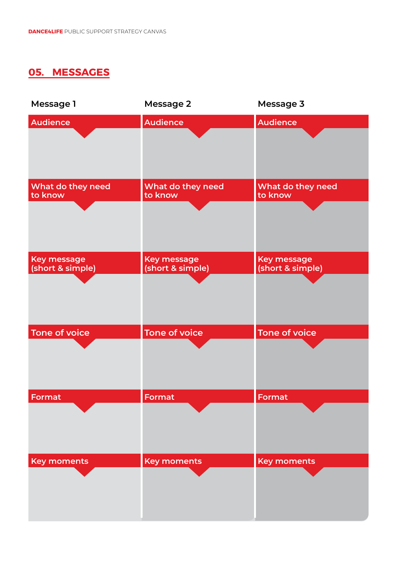# **05. MESSAGES**

| Message 1                              | Message 2                              | Message 3                              |
|----------------------------------------|----------------------------------------|----------------------------------------|
| <b>Audience</b>                        | <b>Audience</b>                        | <b>Audience</b>                        |
| What do they need<br>to know           | What do they need<br>to know           | What do they need<br>to know           |
| <b>Key message</b><br>(short & simple) | <b>Key message</b><br>(short & simple) | <b>Key message</b><br>(short & simple) |
| <b>Tone of voice</b>                   | <b>Tone of voice</b>                   | <b>Tone of voice</b>                   |
| Format                                 | Format                                 | Format                                 |
| <b>Key moments</b>                     | <b>Key moments</b>                     | <b>Key moments</b>                     |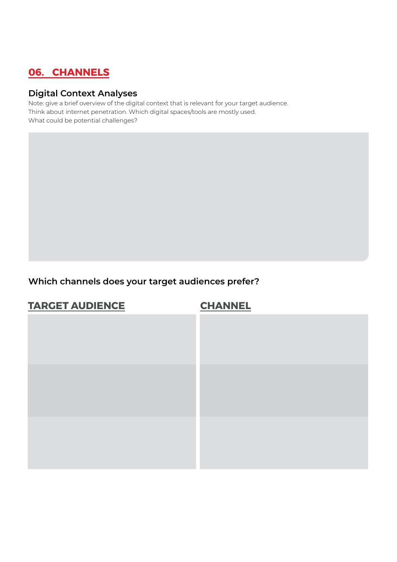# **06. CHANNELS**

# **Digital Context Analyses**

Note: give a brief overview of the digital context that is relevant for your target audience. Think about internet penetration. Which digital spaces/tools are mostly used. What could be potential challenges?

# **Which channels does your target audiences prefer?**

| <b>TARGET AUDIENCE</b> | <b>CHANNEL</b> |
|------------------------|----------------|
|                        |                |
|                        |                |
|                        |                |
|                        |                |
|                        |                |
|                        |                |
|                        |                |
|                        |                |
|                        |                |
|                        |                |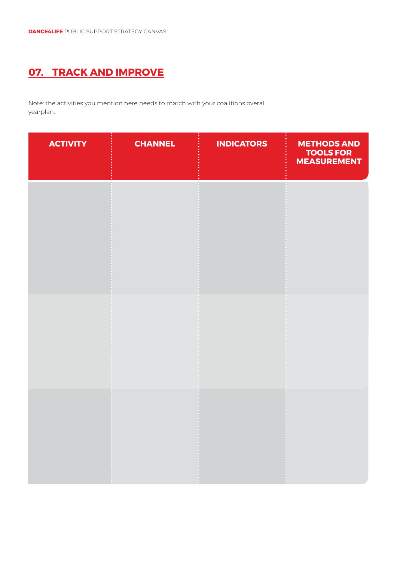# **07. TRACK AND IMPROVE**

Note: the activities you mention here needs to match with your coalitions overall yearplan.

| <b>ACTIVITY</b> | <b>CHANNEL</b> | <b>INDICATORS</b> | <b>METHODS AND<br/>TOOLS FOR</b><br><b>MEASUREMENT</b> |
|-----------------|----------------|-------------------|--------------------------------------------------------|
|                 |                |                   |                                                        |
|                 |                |                   |                                                        |
|                 |                |                   |                                                        |
|                 |                |                   |                                                        |
|                 |                |                   |                                                        |
|                 |                |                   |                                                        |
|                 |                |                   |                                                        |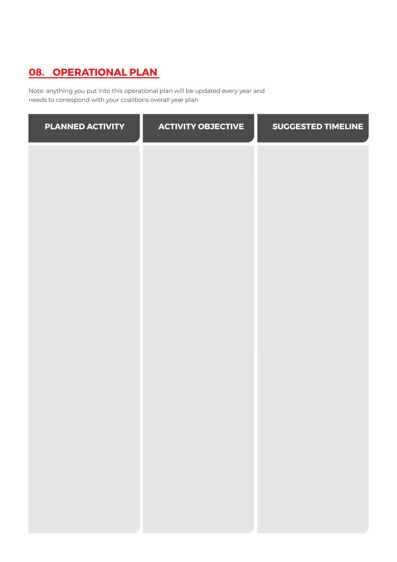# **08. OPERATIONAL PLAN**

Note: anything you put into this operational plan will be updated every year and needs to correspond with your coalitions overall year plan

| PLANNED ACTIVITY | <b>ACTIVITY OBJECTIVE</b> | <b>SUGGESTED TIMELINE</b> |
|------------------|---------------------------|---------------------------|
|                  |                           |                           |
|                  |                           |                           |
|                  |                           |                           |
|                  |                           |                           |
|                  |                           |                           |
|                  |                           |                           |
|                  |                           |                           |
|                  |                           |                           |
|                  |                           |                           |
|                  |                           |                           |
|                  |                           |                           |
|                  |                           |                           |
|                  |                           |                           |
|                  |                           |                           |